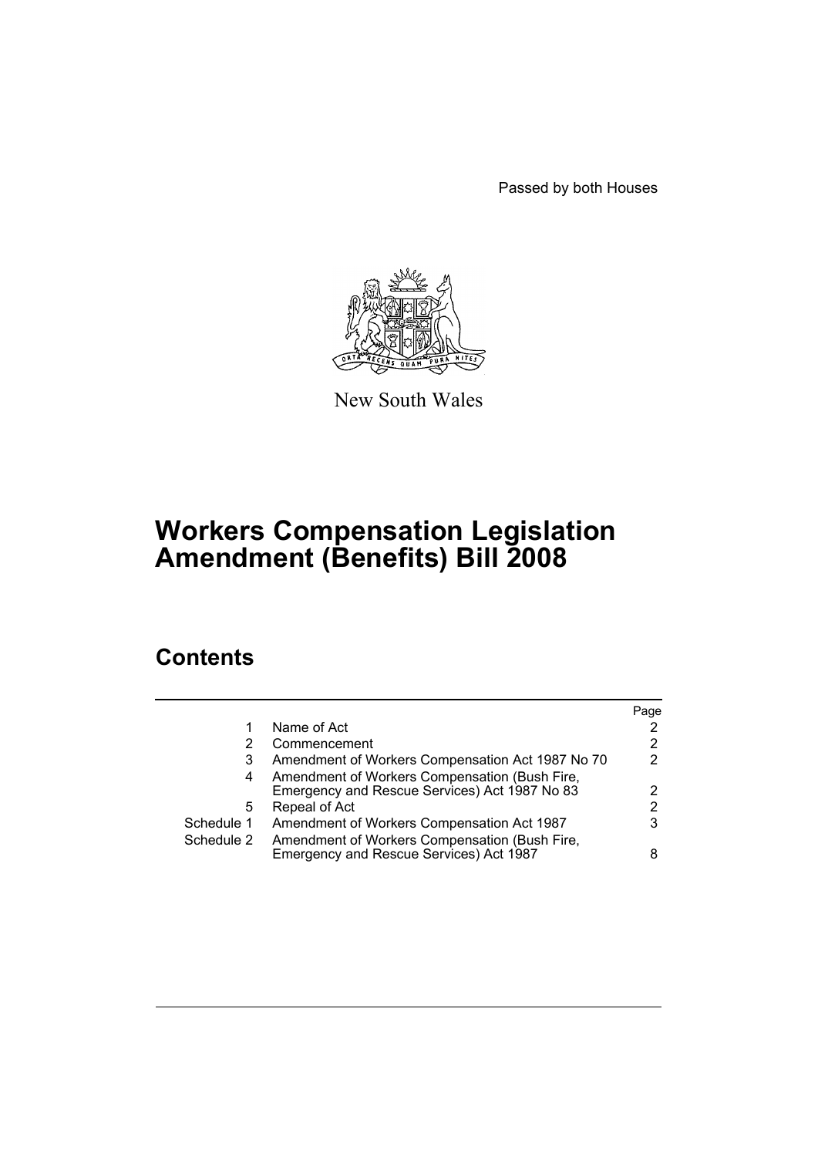Passed by both Houses



New South Wales

# **Workers Compensation Legislation Amendment (Benefits) Bill 2008**

## **Contents**

|            |                                                  | Page |
|------------|--------------------------------------------------|------|
| 1          | Name of Act                                      |      |
| 2          | Commencement                                     | 2    |
| 3          | Amendment of Workers Compensation Act 1987 No 70 | 2    |
| 4          | Amendment of Workers Compensation (Bush Fire,    |      |
|            | Emergency and Rescue Services) Act 1987 No 83    | 2    |
| 5          | Repeal of Act                                    | 2    |
| Schedule 1 | Amendment of Workers Compensation Act 1987       | 3    |
| Schedule 2 | Amendment of Workers Compensation (Bush Fire,    |      |
|            | Emergency and Rescue Services) Act 1987          | 8    |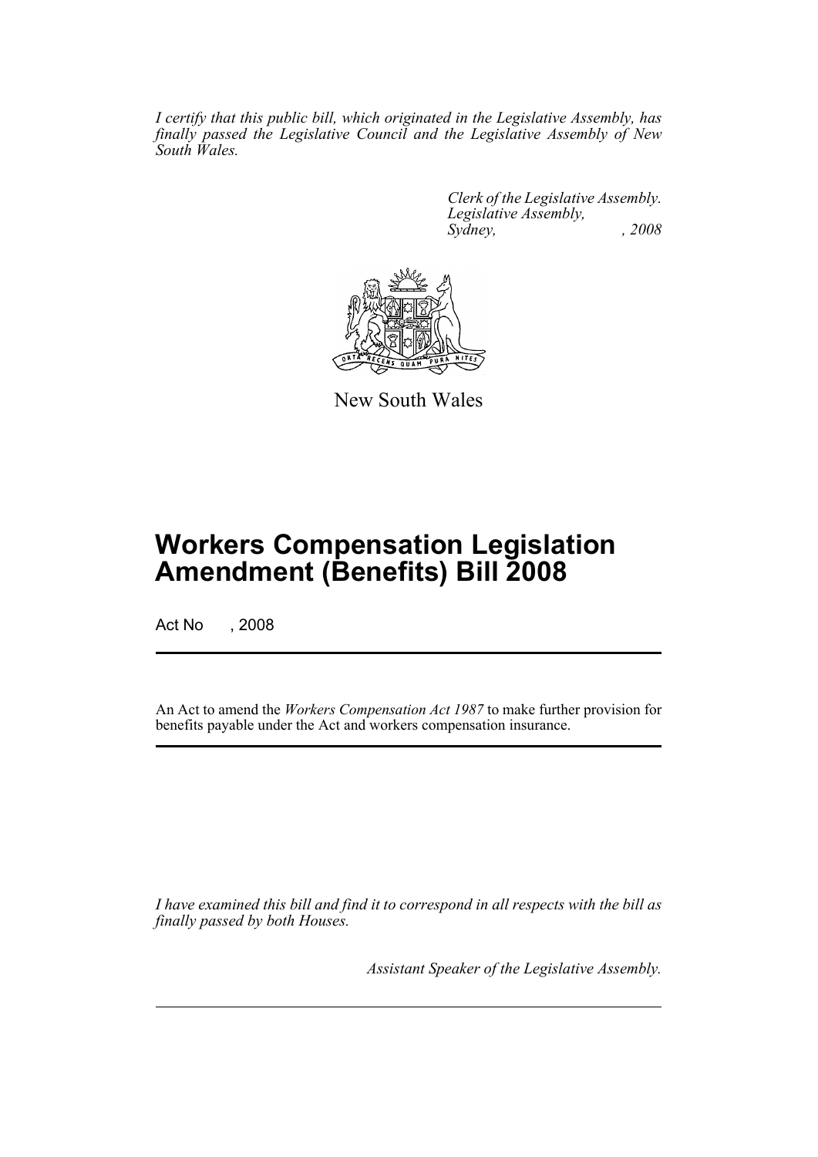*I certify that this public bill, which originated in the Legislative Assembly, has finally passed the Legislative Council and the Legislative Assembly of New South Wales.*

> *Clerk of the Legislative Assembly. Legislative Assembly, Sydney, , 2008*



New South Wales

# **Workers Compensation Legislation Amendment (Benefits) Bill 2008**

Act No , 2008

An Act to amend the *Workers Compensation Act 1987* to make further provision for benefits payable under the Act and workers compensation insurance.

*I have examined this bill and find it to correspond in all respects with the bill as finally passed by both Houses.*

*Assistant Speaker of the Legislative Assembly.*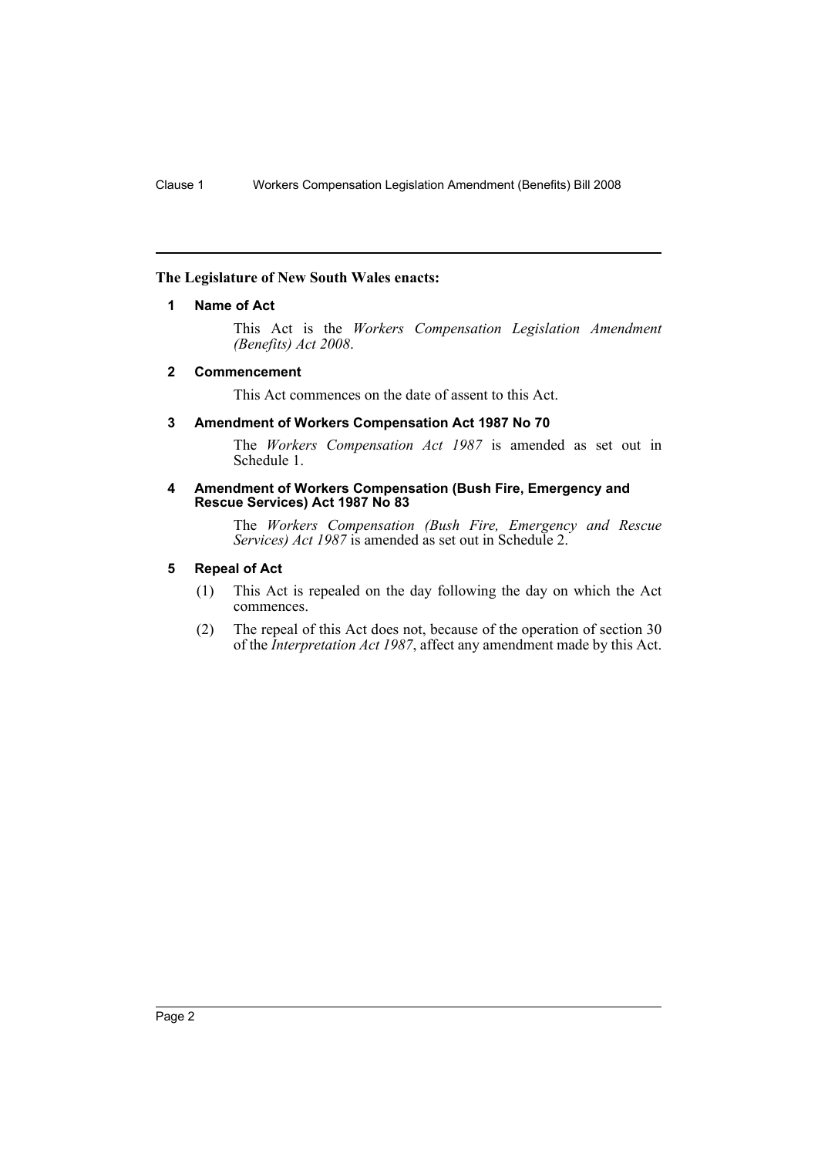#### <span id="page-2-0"></span>**The Legislature of New South Wales enacts:**

#### **1 Name of Act**

This Act is the *Workers Compensation Legislation Amendment (Benefits) Act 2008*.

#### <span id="page-2-1"></span>**2 Commencement**

This Act commences on the date of assent to this Act.

#### <span id="page-2-2"></span>**3 Amendment of Workers Compensation Act 1987 No 70**

The *Workers Compensation Act 1987* is amended as set out in Schedule 1.

#### <span id="page-2-3"></span>**4 Amendment of Workers Compensation (Bush Fire, Emergency and Rescue Services) Act 1987 No 83**

The *Workers Compensation (Bush Fire, Emergency and Rescue Services) Act 1987* is amended as set out in Schedule 2.

#### <span id="page-2-4"></span>**5 Repeal of Act**

- (1) This Act is repealed on the day following the day on which the Act commences.
- (2) The repeal of this Act does not, because of the operation of section 30 of the *Interpretation Act 1987*, affect any amendment made by this Act.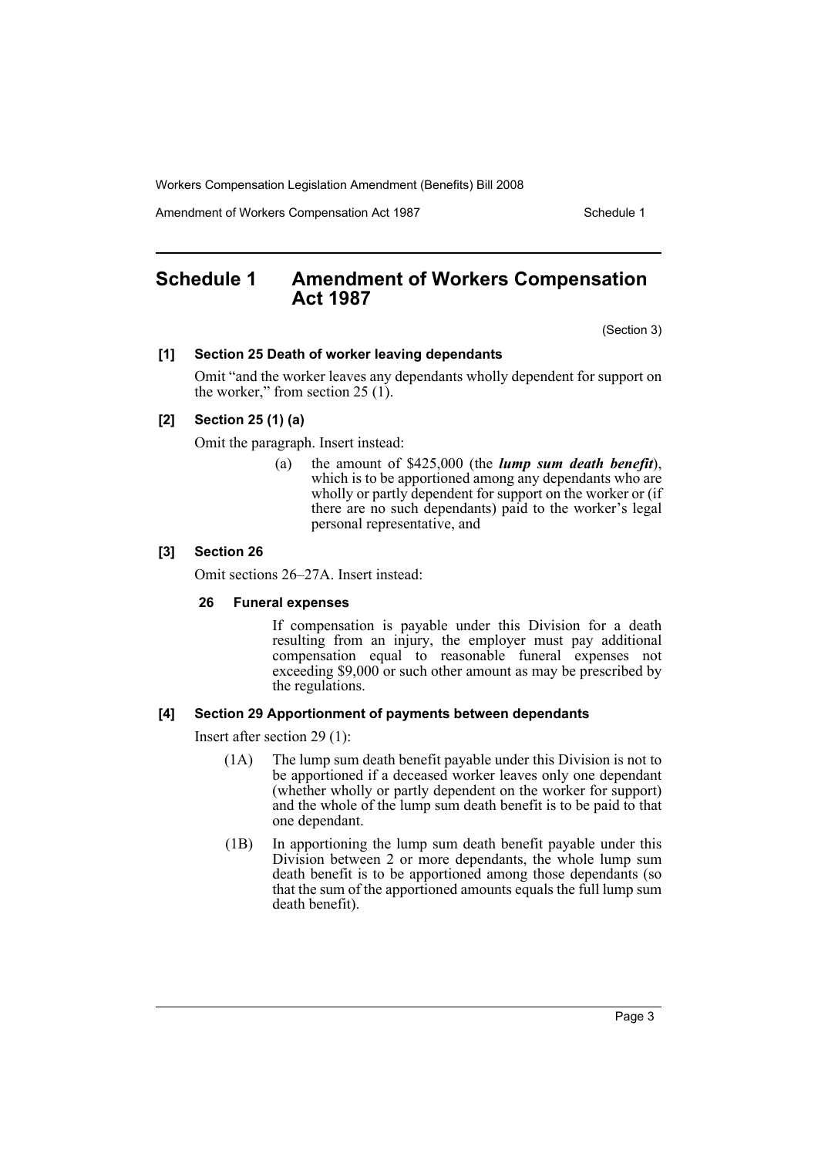Amendment of Workers Compensation Act 1987 New York Schedule 1

## <span id="page-3-0"></span>**Schedule 1 Amendment of Workers Compensation Act 1987**

(Section 3)

#### **[1] Section 25 Death of worker leaving dependants**

Omit "and the worker leaves any dependants wholly dependent for support on the worker," from section  $25(1)$ .

#### **[2] Section 25 (1) (a)**

Omit the paragraph. Insert instead:

(a) the amount of \$425,000 (the *lump sum death benefit*), which is to be apportioned among any dependants who are wholly or partly dependent for support on the worker or (if there are no such dependants) paid to the worker's legal personal representative, and

#### **[3] Section 26**

Omit sections 26–27A. Insert instead:

#### **26 Funeral expenses**

If compensation is payable under this Division for a death resulting from an injury, the employer must pay additional compensation equal to reasonable funeral expenses not exceeding \$9,000 or such other amount as may be prescribed by the regulations.

#### **[4] Section 29 Apportionment of payments between dependants**

Insert after section 29 (1):

- (1A) The lump sum death benefit payable under this Division is not to be apportioned if a deceased worker leaves only one dependant (whether wholly or partly dependent on the worker for support) and the whole of the lump sum death benefit is to be paid to that one dependant.
- (1B) In apportioning the lump sum death benefit payable under this Division between 2 or more dependants, the whole lump sum death benefit is to be apportioned among those dependants (so that the sum of the apportioned amounts equals the full lump sum death benefit).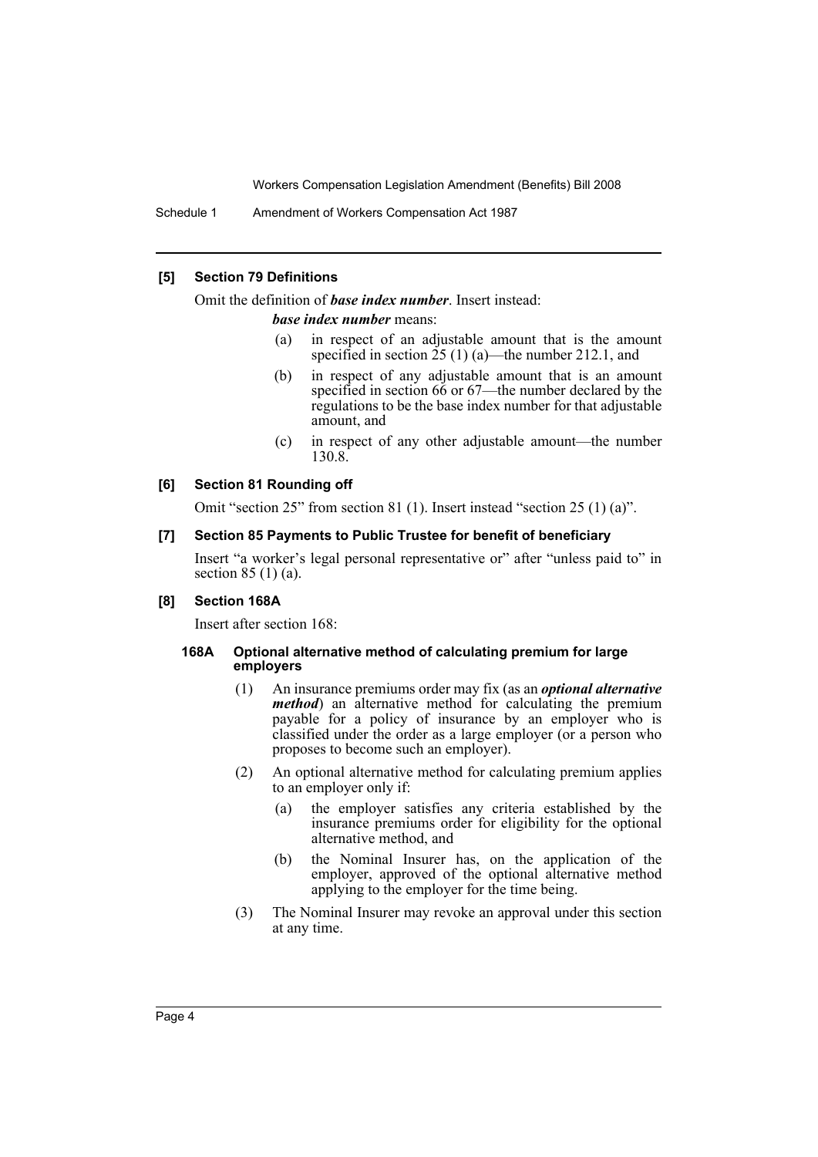Schedule 1 Amendment of Workers Compensation Act 1987

#### **[5] Section 79 Definitions**

Omit the definition of *base index number*. Insert instead:

*base index number* means:

- (a) in respect of an adjustable amount that is the amount specified in section  $\dot{25}$  (1) (a)—the number 212.1, and
- (b) in respect of any adjustable amount that is an amount specified in section 66 or 67—the number declared by the regulations to be the base index number for that adjustable amount, and
- (c) in respect of any other adjustable amount—the number 130.8.

#### **[6] Section 81 Rounding off**

Omit "section 25" from section 81 (1). Insert instead "section 25 (1) (a)".

#### **[7] Section 85 Payments to Public Trustee for benefit of beneficiary**

Insert "a worker's legal personal representative or" after "unless paid to" in section  $85(1)(a)$ .

#### **[8] Section 168A**

Insert after section 168:

#### **168A Optional alternative method of calculating premium for large employers**

- (1) An insurance premiums order may fix (as an *optional alternative method*) an alternative method for calculating the premium payable for a policy of insurance by an employer who is classified under the order as a large employer (or a person who proposes to become such an employer).
- (2) An optional alternative method for calculating premium applies to an employer only if:
	- (a) the employer satisfies any criteria established by the insurance premiums order for eligibility for the optional alternative method, and
	- (b) the Nominal Insurer has, on the application of the employer, approved of the optional alternative method applying to the employer for the time being.
- (3) The Nominal Insurer may revoke an approval under this section at any time.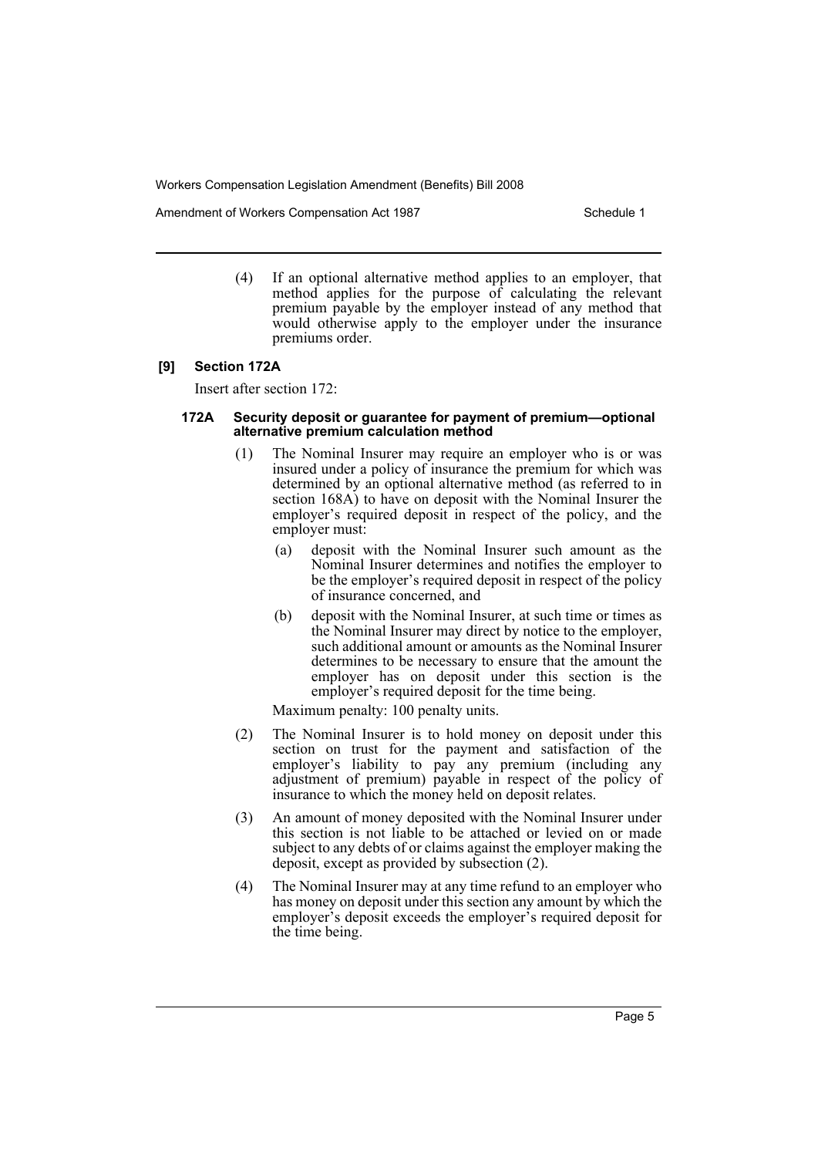Amendment of Workers Compensation Act 1987 New York Schedule 1

(4) If an optional alternative method applies to an employer, that method applies for the purpose of calculating the relevant premium payable by the employer instead of any method that would otherwise apply to the employer under the insurance premiums order.

#### **[9] Section 172A**

Insert after section 172:

#### **172A Security deposit or guarantee for payment of premium—optional alternative premium calculation method**

- (1) The Nominal Insurer may require an employer who is or was insured under a policy of insurance the premium for which was determined by an optional alternative method (as referred to in section 168A) to have on deposit with the Nominal Insurer the employer's required deposit in respect of the policy, and the employer must:
	- (a) deposit with the Nominal Insurer such amount as the Nominal Insurer determines and notifies the employer to be the employer's required deposit in respect of the policy of insurance concerned, and
	- (b) deposit with the Nominal Insurer, at such time or times as the Nominal Insurer may direct by notice to the employer, such additional amount or amounts as the Nominal Insurer determines to be necessary to ensure that the amount the employer has on deposit under this section is the employer's required deposit for the time being.

Maximum penalty: 100 penalty units.

- (2) The Nominal Insurer is to hold money on deposit under this section on trust for the payment and satisfaction of the employer's liability to pay any premium (including any adjustment of premium) payable in respect of the policy of insurance to which the money held on deposit relates.
- (3) An amount of money deposited with the Nominal Insurer under this section is not liable to be attached or levied on or made subject to any debts of or claims against the employer making the deposit, except as provided by subsection (2).
- (4) The Nominal Insurer may at any time refund to an employer who has money on deposit under this section any amount by which the employer's deposit exceeds the employer's required deposit for the time being.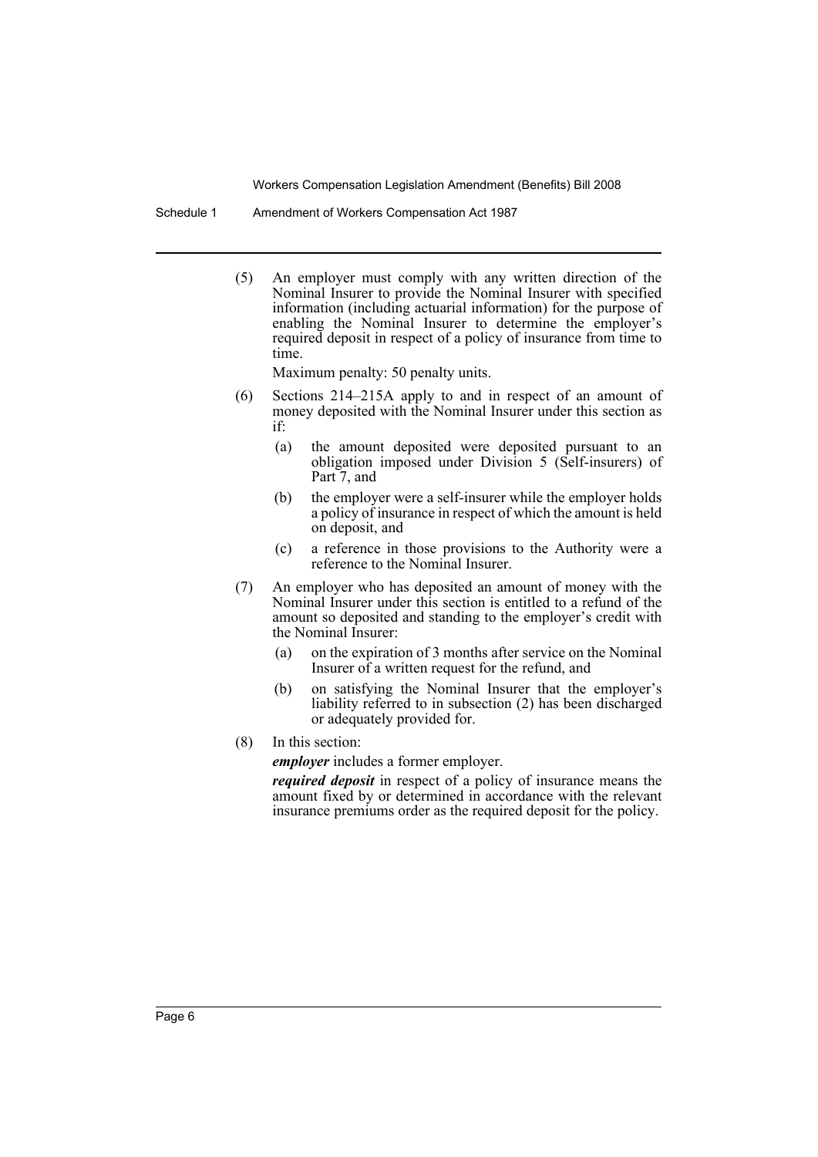Schedule 1 Amendment of Workers Compensation Act 1987

(5) An employer must comply with any written direction of the Nominal Insurer to provide the Nominal Insurer with specified information (including actuarial information) for the purpose of enabling the Nominal Insurer to determine the employer's required deposit in respect of a policy of insurance from time to time.

Maximum penalty: 50 penalty units.

- (6) Sections 214–215A apply to and in respect of an amount of money deposited with the Nominal Insurer under this section as if:
	- (a) the amount deposited were deposited pursuant to an obligation imposed under Division 5 (Self-insurers) of Part 7, and
	- (b) the employer were a self-insurer while the employer holds a policy of insurance in respect of which the amount is held on deposit, and
	- (c) a reference in those provisions to the Authority were a reference to the Nominal Insurer.
- (7) An employer who has deposited an amount of money with the Nominal Insurer under this section is entitled to a refund of the amount so deposited and standing to the employer's credit with the Nominal Insurer:
	- (a) on the expiration of 3 months after service on the Nominal Insurer of a written request for the refund, and
	- (b) on satisfying the Nominal Insurer that the employer's liability referred to in subsection (2) has been discharged or adequately provided for.
- (8) In this section:

*employer* includes a former employer.

*required deposit* in respect of a policy of insurance means the amount fixed by or determined in accordance with the relevant insurance premiums order as the required deposit for the policy.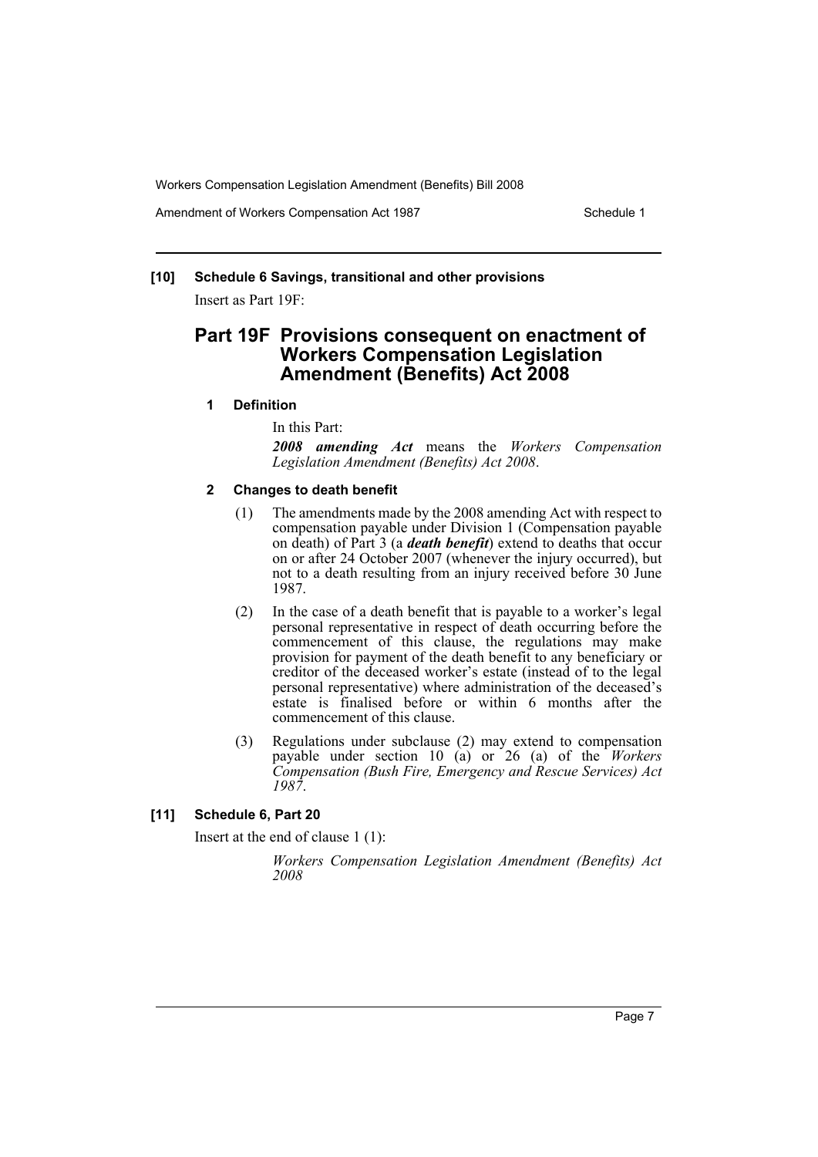Amendment of Workers Compensation Act 1987 New York Schedule 1

## **[10] Schedule 6 Savings, transitional and other provisions**

Insert as Part 19F:

## **Part 19F Provisions consequent on enactment of Workers Compensation Legislation Amendment (Benefits) Act 2008**

#### **1 Definition**

In this Part:

*2008 amending Act* means the *Workers Compensation Legislation Amendment (Benefits) Act 2008*.

#### **2 Changes to death benefit**

- (1) The amendments made by the 2008 amending Act with respect to compensation payable under Division 1 (Compensation payable on death) of Part 3 (a *death benefit*) extend to deaths that occur on or after 24 October 2007 (whenever the injury occurred), but not to a death resulting from an injury received before 30 June 1987.
- (2) In the case of a death benefit that is payable to a worker's legal personal representative in respect of death occurring before the commencement of this clause, the regulations may make provision for payment of the death benefit to any beneficiary or creditor of the deceased worker's estate (instead of to the legal personal representative) where administration of the deceased's estate is finalised before or within 6 months after the commencement of this clause.
- (3) Regulations under subclause (2) may extend to compensation payable under section 10 (a) or 26 (a) of the *Workers Compensation (Bush Fire, Emergency and Rescue Services) Act 1987*.

### **[11] Schedule 6, Part 20**

Insert at the end of clause 1 (1):

*Workers Compensation Legislation Amendment (Benefits) Act 2008*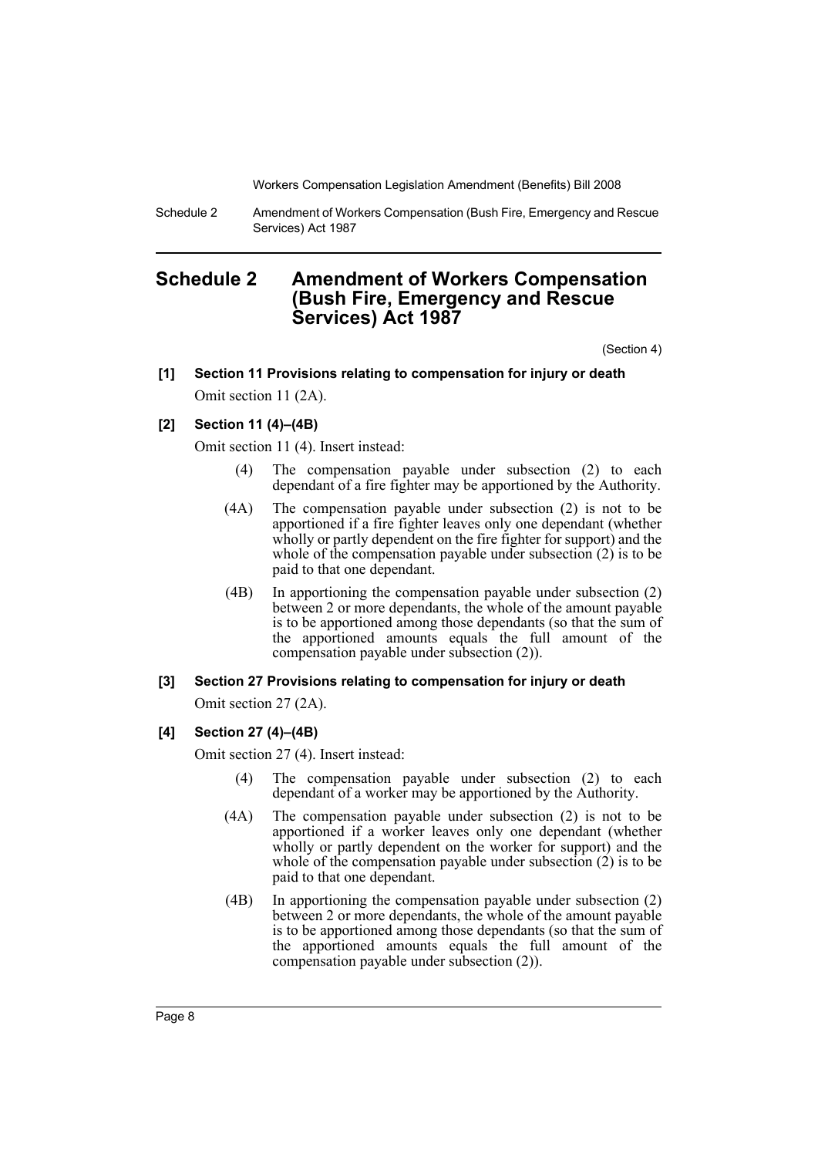Schedule 2 Amendment of Workers Compensation (Bush Fire, Emergency and Rescue Services) Act 1987

## <span id="page-8-0"></span>**Schedule 2 Amendment of Workers Compensation (Bush Fire, Emergency and Rescue Services) Act 1987**

(Section 4)

### **[1] Section 11 Provisions relating to compensation for injury or death** Omit section 11 (2A).

#### **[2] Section 11 (4)–(4B)**

Omit section 11 (4). Insert instead:

- (4) The compensation payable under subsection (2) to each dependant of a fire fighter may be apportioned by the Authority.
- (4A) The compensation payable under subsection (2) is not to be apportioned if a fire fighter leaves only one dependant (whether wholly or partly dependent on the fire fighter for support) and the whole of the compensation payable under subsection (2) is to be paid to that one dependant.
- (4B) In apportioning the compensation payable under subsection (2) between 2 or more dependants, the whole of the amount payable is to be apportioned among those dependants (so that the sum of the apportioned amounts equals the full amount of the compensation payable under subsection (2)).

#### **[3] Section 27 Provisions relating to compensation for injury or death**

Omit section 27 (2A).

#### **[4] Section 27 (4)–(4B)**

Omit section 27 (4). Insert instead:

- (4) The compensation payable under subsection (2) to each dependant of a worker may be apportioned by the Authority.
- (4A) The compensation payable under subsection (2) is not to be apportioned if a worker leaves only one dependant (whether wholly or partly dependent on the worker for support) and the whole of the compensation payable under subsection (2) is to be paid to that one dependant.
- (4B) In apportioning the compensation payable under subsection (2) between 2 or more dependants, the whole of the amount payable is to be apportioned among those dependants (so that the sum of the apportioned amounts equals the full amount of the compensation payable under subsection (2)).